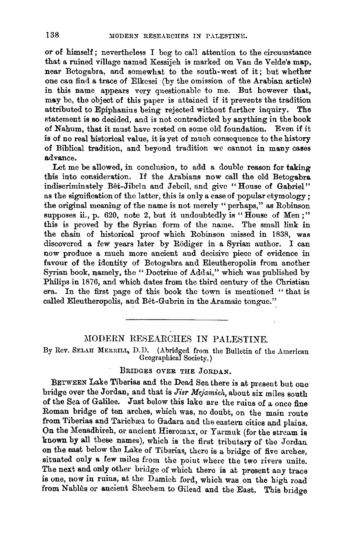or of himself; nevertheless I bog to call attention to the circumstance that a ruined village named Kessijeh is marked on Van de Velde's map, near Betogabra, and somewhat to the south-west of it; but whether one can find a trace of Elkosei (by the omission of the Arabian article) in this name appears very questionable to me. But however that, may be, the object of this paper is attained if it prevents the tradition attributed to Epiphanius being rejected without further inquiry. The statement is so decided, and is not contradicted by anything in the book of Nahum, that it must have rested on some old foundation. Even if it is of no real historical value, it is yet of much consequence to the history of Biblical tradition, and beyond tradition we cannot in many cases advance.

Let me be allowed, in conclusion, to add a double reason for taking this into consideration. If the Arabians now call the old Betogabra indiscriminately Bet-Jibrin and Jebeil, and give "House of Gabriel" as the signification of the latter, this is only a case of popular etymology ; the original meaning of the name is not merely" perhaps," as Robinson supposes ii., p. 620, note 2, but it undoubtedly is "House of Men;" this is proved by the Syrian form of the name. The small link in the chain of historical proof which Robinson missed in 1838, was discovered a few years later by Rodiger in a Syrian author. I can now produce a much more ancient and decisive piece of evidence in favour of the identity of Betogabra and Eleutheropolis from another Syrian book, namely, the "Doctriue of Addai," which was published by Philips in 1876, and which dates from the third century of the Christian era. In the first page of this book the town is mentioned " that is called Eleutheropolis, and Bêt-Gubrin in the Aramaic tongue."

## ~IODERN RESEARCHES IN PALES TINE.

By Rev. SELAH MERRILL, D.D. (Abridged from the Bulletin of the American Geographical Society.)

# BRIDGES OVER THE JORDAN.

BETWEEN Lake Tiberias and the Dead Sea there is at present but one bridge over the Jordan, and that is *Jisr Mejamieh*, about six miles south of the Sea of Galilee. Just below this lake are the mins of a once fine Roman bridge of ten arches, which was, no doubt, on the main route from Tiberias and Tarichæa to Gadara and the eastern cities and plains. On the Menadhireh, or ancient Hieromax, or Yarmuk (for the stream is known by all these names), which is the first tributary of tho Jordan on the east below the Lake of Tiberias, there is a bridge of five arches, situated only a few miles from the point where the two rivers unite. The next and only other bridge of which there is at present any trace is one, now in ruins, at the Damieh ford, which was on the high road from Nablus or ancient Shechem to Gilead and the East. This bridge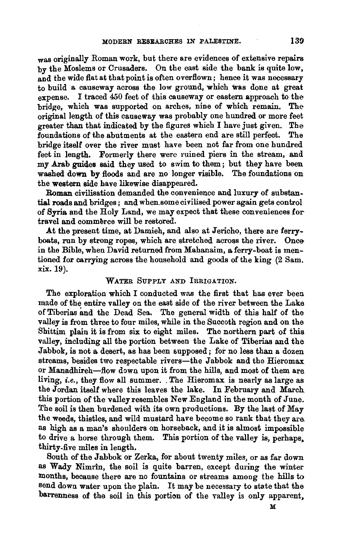was originally Roman work, but there are evidences of extensive repairs  $b$ v the Moslems or Crusaders. On the east side the bank is quite low, and the wide flat at that point is often overflown; hence it was necessary to build a causeway across the low ground, which was done at great expense. I traced 450 feet of this causeway or eastern approach to the bridge, which was supported on arches, nine of which remain. The original length of this causeway was probably one hundred or more feet greater than that indicated by the figures which I have just given. The foundations of the abutments at the eastern end are still perfect. The bridge itself over the river must have been not far from one hundred feet in length. Formerly there were ruined piers in the stream, and my Arab guides said they used to swim to them; but they have been washed down by floods and are no longer visible. The foundations on the western side have likewise disappeared.

Roman civilisation demanded the convenience and luxury of substantial roads and bridges; and when. some civilised power again gets control of Syria and the Holy Land, we may expect that these conveniences for travel and commerce will be restored.

At the present time, at Damieh, and also at Jericho, there are ferryboats, run by strong ropes, which are stretched across the river. Oncein the Bible, when David returned from Mahanaim, a ferry-boat is mentioned for carrying across the household and goods of the king (2 Sam. xix. 19).

### WATER SUPPLY AND IRRIGATION.

The exploration which I conducted was the first that has ever been made of the entire valley on the east side of the river between the Lake of Tiberias and the Dead Sea. The general width of this half of the valley is from three to four miles, while in the Succoth region and on the Shittim plain it is from six to eight miles. The northern part of this valley, including all the portion between the Lake of Tiberias and the Jabbok, is not a desert, as has been supposed; for no less than a dozen streams, besides two respectable rivers-the Jabbok and the Hieromax or Manadhireh-flow down upon it from the hills, and most of them are living, *i.e.*, they flow all summer. The Hieromax is nearly as large as the Jordan itself where this leaves the lake. In February and March. this portion of the valley resembles New England in the month of June. The soil is then burdened with its own productions. By the last of May the weeds, thistles, and wild mustard have become so rank that they are. as high as a man's shoulders on horseback, and it is almost impossible to drive a horse through them. This portion of the valley is, perhaps. thirty-five miles in length.

South of the Jabbok or Zerka, for about twenty miles, or as far down as Wady Nimrin, the soil is quite barren, except during the winter months, because there are no fountains or streams among the hills to send down water upon the plain. It may be necessary to state that the barrenness of the soil in this portion of the valley is only apparent,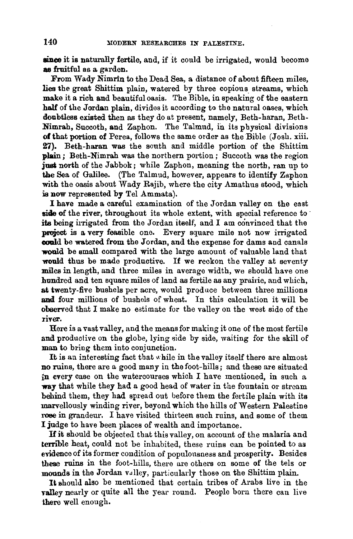aince it is naturally fertile, and, if it could be irrigated, would become as frnitful as a garden.

From Wady Nimrin to the Dead Sea, a distance of about fifteen miles, lies the great Shittim plain, watered by three copious streams, which make it a rich and beautiful oasis. The Bible, in speaking of the eastern half of the Jordan plain, divides it according to the natural oases, which doubtless existed then as they do at present, namely, Beth-haran, Beth-Nimrah, Snccoth, and Zaphon. The Talmud, in its physical divisions of that portion of Perea, follows the same order as the Bible (Josh. xiii. 27). Beth-haran was the south and middle portion of the Shittim plain; Beth-Nimrah was the northern portion; Succoth was the region just north of the Jabbok; while Zaphon, meaning the north, ran up to the Sea of Galilee. (The Talmud, however, appears to identify Zaphon with the oasis about Wady Rajib, where the city Amathus stood, which is now represented by Tel Ammata).

I have made a careful examination of the Jordan valley on the east side of the river, throughout its whole extent, with special reference to its being irrigated from the Jordan itself, and I am oonvinced that the project is a very feasible one. Every square mile not now irrigated could be watered from the Jordan, and the expense for dams and canals woold be small compared with the large amount of valuable land that would thus be made productive. If we reckon the valley at seventy miles in length, and three miles in average width, we should have one hundred and ten square miles of land as fertile as any prairie, and which, at twenty-five bushels per acre, would produce between three millions and four millions of bushels of wheat. In this calculation it will be observed that I make no estimate for the valley on the west side of the river.

Here is a vast valley, and the means for making it one of the most fertile and productive on the globe, lying side by side, waiting for the skill of man to bring them into conjunction.

It is an interesting fact that while in the valley itself there are almost no ruins, there are a good many in the foot-hills; and these are situated in every case on the watercourses which I have mentioned, in such a way that while they had a good head of water in the fountain or stream behind them, they had spread out before them the fertile plain with its marvellously winding river, beyond which the hills of Western Palestine rose in grandeur. I have visited thirteen such ruins, and some of them I judge to have been places of wealth and importance.

Hit should be objected that this valley, on account of the malaria and terrible heat, could not be inhabited, these ruins can be pointed to as evidence of its former condition of populousness and prosperity. Besides these ruins in the foot-hills, there are others on some of the tels or mounds in the Jordan valley, particularly those on the Shittim plain.

It should also be mentioned that certain tribes of Arabs live in the valley nearly or quite all the year round. People born there can live there well enough.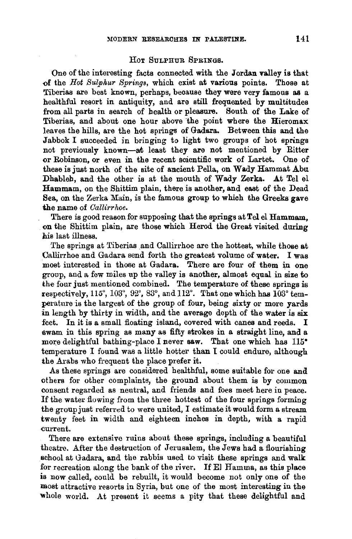#### HoT SuLPHUR SPRINGs.

One of the interesting facts connected with the Jordan valley is that of the *Hot Sulphur Springs,* which exist at various points. Those at Tiberias are best known, perhaps, because they were very famous as a healthful resort in antiquity, and are still frequented by multitudes from all parts in search of health or pleasure. South of the Lake of Tiberias, and about one hour above the point where the Hieromax leaves the hills, are the hot springs of Gadara. Between this and the Jabbok I succeeded in bringing to light two groups of hot springs not previously known-at least they are not mentioned by Ritter or Robinson, or even in the recent scientific work of Lartet. One of these is just north of the site of ancient Pella, on Wady Hammat Abu Dhableh, and the other is at the mouth of Wady Zerka. At Tel el Hammam, on the Shittim plain, there is another, and east of the Dead Sea, on the Zerka Main, is the famous group to which the Greeks gave the name of *Oallirrhoe.* 

There is good reason for supposing that the springs at Tel el Hammam. on the Shittim plain, are those which Herod the Great visited during his last illness.

The springs at Tiberias and Callirrhoe are the hottest, while those at Callirrhoe and Gadara send forth the greatest volume of water. I was most interested in those at Gadara. There are four of them in one group, and a few miles up the valley is another, almost equal in size to the four just mentioned combined. The temperature of these springs is respectively, 115°, 103°, 92°, 83°, and 112°. That one which has  $103^\circ$  temperature is the largest of the group of four, being sixty or more yards in length by thirty in width, and the average depth of the water is six feet. In it is a small floating island, covered with canes and reeds. I swam in this spring as many as fifty strokes in a straight line, and a more delightful bathing-place I never saw. That one which has 115<sup>\*</sup> temperature I found was a little hotter than 1 could endure, although the Arabs who frequent the place prefer it.

As these springs are considered healthful, some suitable for one and others for other complaints, the ground about them is by common consent regarded as neutral, and friends and foes meet here in peace. If the water flowing from the three hottest of the four springs forming the group just referred to were united, I estimate it would form a stream twenty feet in width and eighteen inches in depth, with a rapid current.

There are extensive ruins about these springs, including a beautiful theatre. After the destruction of Jerusalem, the Jews had a flourishing school at Gadara, and the rabbis used to visit these springs and walk for recreation along the bank of the river. If El Hamma, as this place is now called, could be rebuilt, it would become not only one of the most attractive resorts in Syria, but one of the most interesting in the whole world. At present it seems a pity that these delightful and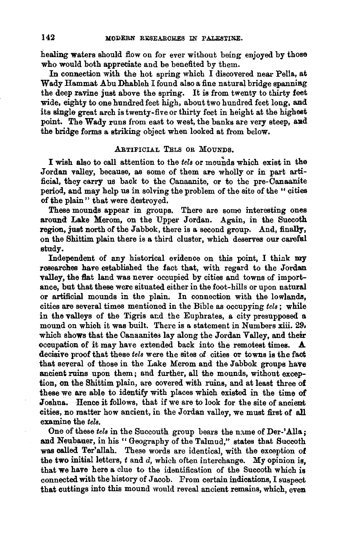healing waters should flow on for ever without being enjoyed by those who would both appreciate and be benefited by them.

In connection with the hot spring which I discovered near Pella, at Wady Hammat Abu Dhableh I found also a fine natural bridge spannisg the deep ravine just above the spring. It is from twenty to thirty feet wide, eighty to one hundred feet high, about two hundred feet long, and its single great arch is twenty-five or thirty feet in height at the highest point. The Wady runs from east to west, the banks are very steep, and the bridge forms a striking object when looked at from below.

## .ARTIFICIAL TBLS OR MOUNDS.

I wish also to call attention to the *tels* or mounds which exist in the Jordan valley, because, as some of them are wholly or in part artificial, they carry us back to the Canaanite, or to the pre-Canaanite period, and may help us in solving the problem of the site of the "cities of the plain " that were destroyed.

These mounds appear in groups. There are some interesting ones around Lake Merom, on the Upper Jordan. Again, in the Succoth region, just north of the Jabbok, there is a second group. And, finally, on the Shittim plain there is a third cluster, which deserves our careftd study.

Independent of any historical evidence on this point, I think my researches have established the fact that, with regard to the Jordan valley, the flat land was never occupied by cities and towns of importance, but that these were situated either in the foot-hills or upon natural or artificial mounds in the plain. In connection with the lowland8, cities are several times mentioned in the Bible as occupying *tels* ; while in the valleys of the Tigris and the Euphrates, a city presupposed a mound on which it was built. There is a statement in Numbers xiii. 29. which shows that the Canaanites lay along the Jordan Valley, and their occupation of it may have extended back into the remotest times. A decisive proof that these *tels* were the sites of cities or towns is the fact that several of those in the Lake Merom and the Jabbok groups have ancient ruins upon them; and further, all the mounds, without exception, on the Shittim plain, are covered with ruins, and at least three of these we are able to identify with places which existed in the time of Joshua. Hence it follows, that if we are to look for the site of ancient cities, no matter how ancient, in the Jordan valley, we must first of all examine the *tels.* 

One of these *tels* in the Succouth group bears the name of Der-'Alla; and Neubauer, in his " Geography of the Talmud," states that Succoth was called Ter'allah. These words are identical, with the exception of the two initial letters, *t* and *d*, which often interchange. My opinion is, that we have here a clue to the identification of the Succoth which is connected with the history of J acob. From certain indications, I suspect that outtings into this mound would reveal ancient remains, which, even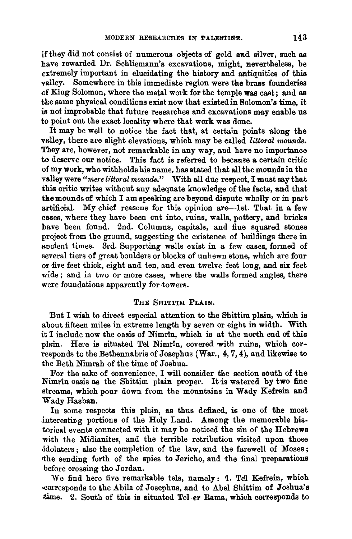if they did not consist of numerous objects of gold and silver, such as have rewarded Dr. Schliemann's excavations, might, nevertheless, be extremely important in elucidating the history and antiquities of this valley. Somewhere in this immediate region were the brass founderies of King Solomon, where the metal work for the temple was cast; and as tke same physical conditions exist now that existed in Solomon's time, it is not improbable that future researches and excavations may enable us to point out the exact locality where that work was done.

It may be well to notice the fact that, at certain points along the valley, there are slight elevations, which may be called *littoral mounds*. They are, however, not remarkable in any way, and have no importance to deserve our notice. This fact is referred to because a certain critic. of my work, who withholds his name, has stated that all the mounds in the valley were *"mere Uttoral mounds."* With all due respect, I must say that this critic writes without any adequate knowledge of the facts, and that the mounds of which I am speaking are beyond dispute wholly or in part artificial. My chief reasons for this opinion are-1st. That in a few cases, where they have been cut into, ruins, walls, pottery, and bricks have been found. 2nd. Columns, capitals, and fine squared stones project from the ground, suggesting the existence of buildings there in ancient times. 3rd. Supporting walls exist in a few cases, formed of several tiers of great boulders or blocks of unhewn stone, which are four or five feet thick, eight and ten, and even twelve feet long, and six feet wide ; and in two or more cases, where the walls formed angles, there were foundations apparently for towers.

## THE SHITTIM PLAIN.

But I wish to direct especial attention to the Shittim plain, which is about fifteen miles in extreme length by seven or eight in width. With it I include now the oasis of Nimrîn, which is at the north end of this plain. Here is situated Tel Nimrin, covered with ruins, which corresponds to the Bethennabris of Josephus (War., 4, 7, 4), and likewise to the Beth Nimrah of the time of Joshua.

For the sake of convenience, I will consider the section south of the Nimrîn oasis as the Shittim plain proper. It is watered by two fine streams, which pour down from the mountains in Wady Kefrein and Wady Hasban.

In some respects this plain, as thus defined, is one of the most interesting portions of the Holy Land. Among the memorable historical events connected with it may be noticed the sin of the Hebrews with the Midianites, and the terrible retribution visited upon those .idolaters; also the completion of the law, and the farewell of Moses; the sending forth of the spies to Jericho, and the final preparations before crossing tho Jordan.

We find here five remarkable tels, namely: 1. Tel Kefrein, which corresponds to the Abila of Josephus, and to Abel Shittim of Joshua's time. 2. South of this is situated Tel er Rama, which corresponds to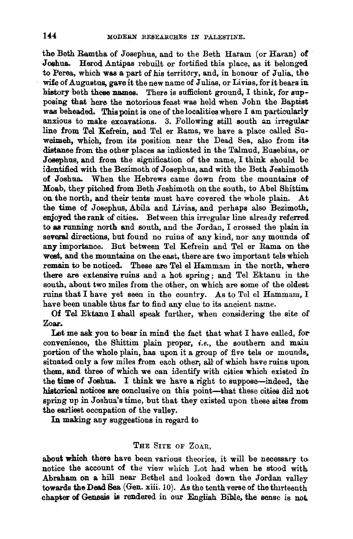the Beth Ramtha of Josephus, and to the Beth Haram (or Haran) o£ Joshua. Herod Antipas rebuilt or fortified this place, as it belonged to Perea, which was a part of his territory, and, in honour of Julia, the wife of Augustus, gave it the new name of Julias, or Livias, for it bears in history beth these names. There is sufficient ground, I think, for supposing that here the notorious feast was held when John the Baptist was beheaded. This point is one of the localities where I am particularly anxious to make excavations. 3. Following still south an irregular line from Tel Kefrein, and Tel er Rama, we have a place called Suweimeh, which, from its position near the Dead Sea, also from its distance from the other places as indicated in the Talmud, Eusebius, or Josephus, and from the signification of the name, I think should be identified with the Bezimoth of Josephus, and with the Beth Jeshimoth of Joshua. When the Hebrews came down from the mountains of Moab, they pitched from Beth Jeshimoth on the south, to Abel Shittim on the north, and their tents must have covered the whole plain. the time of Josephus, Abila and Livias, and perhaps also Bezimoth, enjoyed the rank of cities. Between this irregular line already referred to as running north and south, and the Jordan, I crossed the plain in several directions, but found no ruins of any kind, nor any mounds of any importance. But between Tel Kefrein and Tel er Rama on the west, and the mountains on the east, there are two important tels which remain to be noticed. These are Tel el Hammam in the north, where there are extensive ruins and a hot spring ; and Tel Ektanu in the south, about two miles from the other, on which are some of the oldest ruins that I have yet seen in the country. As to Tel el Hammam, I have been unable thus far to find any clue to its ancient name.

Of Tel Ektanu I shall speak further, when considering the site of Zoar.

Let me ask you to bear in mind the fact that what I have called, for convenience, the Shittim plain proper, *i.e.,* the southern and maiu portion of the whole plain, has upon it a group of five tels or mounds, situated only a few miles from each other, all of which have ruins upon them, and three of which we can identify with cities which existed in the time of Joshua. I think we have a right to suppose-indeed, the historical notices are conclusive on this point-that these cities did not spring up in Joshua's time, but that they existed upon these sites from the earliest occupation of the valley.

In making any suggestions in regard to

## THE SITE oF ZoAR,

about which there have been various theories, it will be necessary to notice the account of the view which Lot had when he stood with Abraham on a hill near Bethel and looked down the Jordan valley towards the Dead Sea (Gen. xiii. 10). As the tenth verse of the thurteenth chapter of Genesis is rendered in our English Bible, the sense is not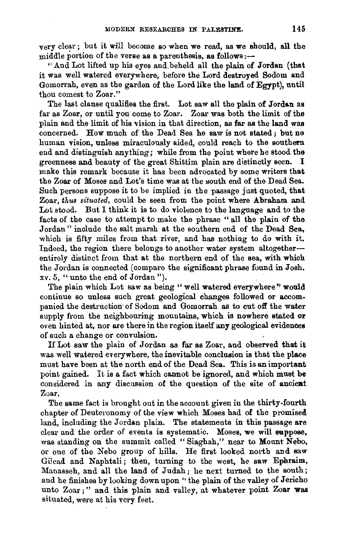very clear; but it will become so when we read, as we should, all the middle portion of the verse as a parenthesis, as follows:-

"And Lot lifted up his eyes and\_ beheld all the plain of Jordan (that it was well watered everywhere, before the Lord destroyed Sodom and Gomorrah, even as the garden of the Lord like the land of Egypt), until thou comest to Zoar."

The last clause qualifies the first. Lot saw all the plain of Jordan as far as Zoar, or until you come to Zoar. Zoar was both the limit of the plain and the limit of his vision in that direction, as far as the land was concerned. How much of the Dead Sea he saw is not stated ; but no human vision, unless miraculously aided, could reach to the southern end and distinguish anything; while from the point where he stood the greenness and beauty of the great Shittim plain are distinctly seen. I make this remark because it has been advocated by some writers that the Zoar of Moses and Lot's time was at the south end of the Dead Sea. Such persons suppose it to be implied in the passage just quoted, that Zoar, *thus situated,* could be seen from the point where Abraham and Lot stood. But I think it is to do violence to the language and to the facts of the case to attempt to make the phrase " all the plain of the Jordan" include the salt marsh at the southern end of the Dead Sea, which is fifty miles from that river, and has nothing to do with it. Indeed, the region there belongs to another water system altogetherentirely distinct from that at the northern end of the sea, with which the Jordan is connected (compare the significant phrase found in Josh. xv. 5, "unto the end of Jordan").

The plain which Lot saw as being "well watered everywhere" would continue so unless such great geological changes followed or accompanied the destruction of Sodom and Gomorrah as to cut off the water supply from the neighbouring mountains, which is nowhere stated or even hinted at, nor are there in the region itself any geological evidences of such a change or convulsion.

If Lot saw the plain of Jordan as far as Zoar, and observed that it was well watered everywhere, the inevitable conclusion is that the place must have been at the north end of the Dead Sea. This is an important point gained. It is a fact which cannot be ignored, and which must be considered in any discussion of the question of the site of ancieat Zoar.

The same fact is brought out in the account given in the thirty-fourth chapter of Deuteronomy of the view which Moses had of the promised land, including the Jordan plain. The statements in this passage are clear and the order of events is systematic. Moses, we will suppose, was standing on the summit called "Siaghah," near to Mount Nebo, or one of the Nebo group of hills. He first looked north and saw Gilead and Naphtali; then, turning to the west, he saw Ephraim, Manasseh, and all the land of Judah; he next turned to the south; and he finishes by looking down upon " the plain of the valley of Jericho unto Zoar;" and this plain and valley, at whatever point Zoar was situated, were at his very feet.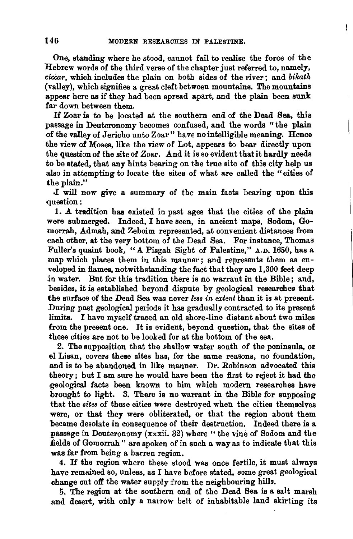ţ

One, standing where he stood, cannot fail to realise the force of the Hebrew words of the third verse of the chapter just referred to, namely, *ciccar,* which includes the plain on both sides of the river; and *bikath*  (valley), which signifies a great cleft between mountains. The mountains appear here as if they had been spread apart, and the plain been sunk far down between them.

If Zoar is to be located at the southern end of the Dead Sea, this passage in Deuteronomy becomes confused, and the words "the plain of the valley of Jericho unto Zoar" have no intelligible meaning. Henco the view of Moses, like the view of Lot, appears to bear directly upon the question of the site of Zoar. And it is so evident that it hardly needs to be stated, that any hints bearing on the true site of this city help us also in attempting to locate the sites of what are called the "cities of the plain."

J will now give a summary of the main facts l)earing upon this question:

1. *A.* tradition has existed in past ages that the cities of the plain were submerged. Indeed, I have seen, in ancient maps, Sodom, Gomorrah, Admah, and Zeboim represented, at convenient distances from each other, at the very bottom of the Dead Sea. For instance, Thomas Fuller's quaint book, *"A.* Pisgah Sight of Palestine," A.D. 1650, has a map which places them in this manner; and represents them as enveloped in flames, notwithstanding the fact that they are 1,300 feet deep in water. But for this tradition there is no warrant in the Bible; and, besides, it is established beyond dispute by geological researches that the surface of the Dead Sea was never *less in extent* than it is at present. During past geological periods it has gradually contracted to its present limits. I have myself traced an old shore-line distant about two miles from the present one. It is evident, beyond question, that the sites of from the present one. It is evident, beyond question, that the sites of these cities are not to be looked for at the bottom of the sea.

2. The supposition that the shallow water south of the peninsula, or el Lisan, covers these sites has, for the same reasons, no foundation, and is to be abandoned in like manner. Dr. Robinson advocated this theory; but I am sure he would have been the first to reject it had the geological facts been known to him which modern researches have brought to light. 3. There is no warrant in the Bible for supposing that the *sites* of these cities were destroyed when the cities themselves were, or that they were obliterated, or that the region about them became desolate in consequence of their destruction. Indeed there is a passage in Deuteronomy (xxxii. 32) where " the vine of Sodom and the fields of Gomorrah" are spoken of in such a way as to indicate that this was far from being a barren region.

4. If the region where these stood was once fertile, it must always have remained so, unless, as I have before stated, some great geological change cut off the water supply from the neighbouring hills.

5. The region at the southern end of the Dead Sea is a salt marsh and desert, with only a narrow belt of inhabitable land skirting its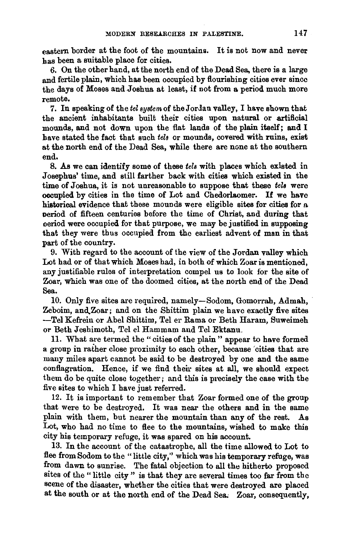eastern border at the foot of the mountains. It is not now and never has been a suitable place for cities.

6. On the other hand, at the north end of the Dead Sea, there is a large and fertile plain, which has been occupied by flourishing cities ever since the days of Moses and Joshua at least, if not from a period much more remote.

7. In speaking of the *tel system* of the Jordan valley, I have shown that the ancient inhabitants built their cities upon natural or artificial mounds, and not down upon the flat lands of the plain itself; and I have stated the fact that such *tels* or mounds, covered with ruins, exist at the north end of the Dead Sea, while there are none at the southern end.

8. As we can identify some of these *tels* with places which existed in Josephus' time, and still farther back with cities which existed in the time of Joshua, it is not unreasonable to suppose that these *tels* were occupied by cities in the time of Lot and Chedorlaomer. If we have historical evidence that these mounds were eligible sites for cities for a period of fifteen centuries before the time of Christ, and during that oeriod were occupied for that purpose, we may be justified in supposing that they were thus occupied from the earliest advent of man in that part of the country.

9. With regard to the account of the view of the Jordan valley which Lot had or of that which Moses had, in both of which Zoar is mentioned. any justifiable rules of interpretation compel us to look for the site of Zoar, which was one of the doomed cities, at the north end of the Dead Sea.

10. Only five sites are required, namely-Sodom, Gomorrah, Admah, Zeboim, and Zoar; and on the Shittim plain we have exactly five sites -Tel Kefreiu or Abel Shittim, Tel er Rama or Beth Haram, Suweimeh or Beth Jeshimoth, Tel el Hammam and Tel Ektanu.

11. What are termed the "cities of the plain" appear to have formed a group in rather close proximity to each other, because 'cities that are many miles apart cannot be said to be destroyed by one and the same conflagration. Hence, if we find their sites at all, we should expect them do be quite close together; and this is precisely the case with the five sites to which I have just referred.

12. It is important to remember that Zoar formed one of the group that were to be destroyed. It was near the others and in the same plain with them, but nearer the mountain than any of the rest. As Lot, who had no time to flee to the mountains, wished to make this city his temporary refuge, it was spared on his account.

13. In the account of the catastrophe, all the time allowed to Lot to flee from Sodom to the "little city," which was his temporary refuge, was from dawn to sunrise. The fatal objection to all the hitherto proposed sites of the "little city" is that they are several times too far from the scene of the disaster, whether the cities that were destroyed are placed at the south or at the north end of the Dead Sea. Zoar, consequently,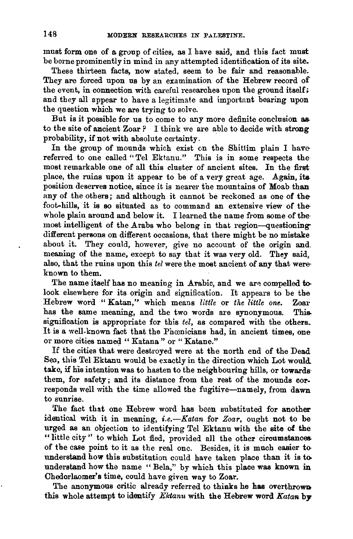must form one of a group of cities, as I have said, and this fact must be borne prominently in mind in any attempted identification of its site.

These thirteen facts, now stated, seem to be fair and reasonable. They are forced upon us by an examination of the Hebrew record of the event, in connection with careful researches upon the ground itself; and they all appear to have a legitimate and important bearing upon the question which we are trying to solve.

But is it possible for us to come to any more definite conclusion as to the site of ancient Zoar *?* I think we are able to decide with strong probability, if not with absolute certainty. .

In the group of mounds which exist on the Shittim plain I havereferred to one called "Tel Ektanu." This is in some respects the most remarkable one of all this cluster of ancient sites. In the first place, the ruins upon it appear to be of a very great age. Again, itaposition deserves notice, since it is nearer the mountains of Moab than any of the others; and although it cannot be reckoned as one of thefoot-hills, it is so situated as to command an extensive view of thewhole plain around and below it. I learned the name from some of the most intelligent of the Arabs who belong in that region-questioningdifferent persons on different occasions, that there might be no mistake about it. They could, however, give no account of the origin and. meaning of the name, except to say that it was very old. They said, also, that the ruins upon this *tel* were the most ancient of any that wereknown to them.

The name itself has no meaning in Arabic, and we are compelled tolook elsewhere for its origin and signification. It appears to be the Hebrew word "Katan," which means *little* or *the little one.* Zoar has the same meaning, and the two words are synonymous. Thissignification is appropriate for this *tel,* as compared with the others. It is a well-known fact that the Phonicians had, in ancient times, one or more cities named " Katana" or " Katane."

If the cities that were destroyed were at the north end of the Dead Sea, this Tel Ektanu would be exactly in the direction which Lot would. take, if his intention was to hasten to the neighbouring hills, or towardsthem, for safety; and its distance from the rest of the mounds corresponds well with the time allowed the fugitive-namely, from dawn to sunrise.

The fact that one Hebrew word has been substituted for another identical with it in meaning, *i.e.-Katan* for *Zoar,* ought not to be urged as an objection to identifying Tel Ektanu with the site of the "little city" to which Lot fled, provided all the other circumstances. of the case point to it as the real one. Besides, it is much easier tounderstand how this substitution could have taken place than it is tounderstand how the name " Bela," by which this place was known in Chedorlaomer's time, could have given way to Zoar.

The anonymous critic already referred to thinks he has overthrown. this whole attempt to identify *Ektanu* with the Hebrew word *Katan* by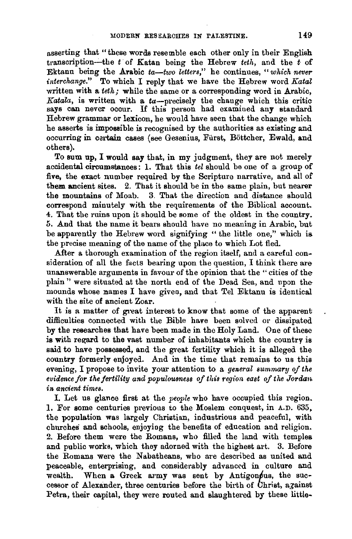asserting that "these words resemble each other only in their English transcription-the *t* of Katan being the Hebrew *teth*, and the *t* of Ektanu being the AT&bic *ta-two letters,"* he continues, *"which never interchange."* To which I reply that we have the Hebrew word *Katal*  written with a *teth*; while the same or a corresponding word in Arabic. *Katala*, is written with a tu-precisely the change which it knows.<br>
says can never occur. If this person had examined any standard says can never occur. If this person had examined any standard Hebrew grammar or lexicon, he would have seen that the change which he asserts is impossible is recognised by the authorities as existing and occurring in certain cases (see Gesenius, Fürst, Böttcher, Ewald, and others).

To sum up, I would say that, in my judgment, they are not merely accidental circumstances: 1. That this *tel* should be one of a group of five, the exact number required by the Scripture narrative, and all of them ancient sites. 2. That it should be in the same plain, but nearer the mountains of Moab. 3. That the direction and distance should correspond minutely with the requirements of the Biblical account. 4. That the ruins upon it should be some of the oldest in the country. 5. And that the name it bears should have no meaning in Arabic, but be apparently the Hebrew word signifying "the little one," which is the precise meaning of the name of the place to which Lot fled.

After a thorough examination of the region itself, and a careful consideration of all the facts bearing upon the question, I think there are unanswerable arguments in favour of the opinion that the "cities of the plain" were situated at the north end of the Dead Sea, and upon the mounds whose names I have given, and that Tel Ektanu is identical with the site of ancient Zoar.

It is a matter of great interest to know that some of the apparent difficulties connected with the Bible have been solved or dissipated by the researches that have been made in the Holy Land. One of these is with regard to the vast number of inhabitants which the country is said to have possessed, and the great fertility which it is alleged the country formerly enjoyed. And in the time that remains to us this evening, I propose to invite your attention to a *general summary of the evidence for the fertility and populousness of this region east of the Jordan in ancient times.* 

I. Let ns glance first at the *people* who have occupied this region. 1. For some centuries previous to the Moslem conquest, in A.D. 635, the population was largely Christian, industrious and peaceful, with churches and schools, enjoying the benefits of education and religion. 2. Before them were the Romans, who filled the land with temples and public works, which they adorned with the highest art. 3. Before the Romans were the Nabatheans, who are described as united and peaceable, enterprising, and considerably advanced in culture and wealth. When a Greek army was sent by Antigonous, the successor of Alexander, three centuries before the birth of Christ, against Petra, their capital, they were routed and slaughtered by these little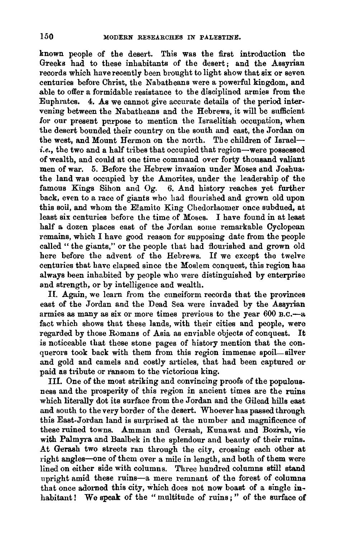known people of the desert. This was the first introduction the Greeks had to these inhabitants of the desert; and the Assyrian records which have recently been brought to light show that six or seven centuries before Christ, the Nabatheans were a powerful kingdom, and able to offer a formidable resistance to the disciplined armies from the Euphrates. 4. As we cannot give accurate details of the period intervening between the Nabatheans and the Hebrews, it will be sufficient for our present perpose to mention the Israelitish occupation, when the desert bounded their country on the south and east, the Jordan on the west, and Mount Hermon on the north. The children of Israel*i.e.*, the two and a half tribes that occupied that region-were possessed of wealth, and could at one time command over forty thousand valiant men of war. 5. Before the Hebrew invasion under Moses and Joshua. the land was occupied by the Amorites, under the leadership of the famous Kings Sihon and Og. 6. And history reaches yet further back, even to a race of giants who had flourished and grown old upon this soil, and whom the E!amito King Chedorlaomer once subdued, at least six centuries before the time of Moses. I have found in at least half a. dozen places east of the Jordan some remarkable Cyclopean remains, which I have good reason for supposing date from the people called "the giants," or the people that had flourished and grown old here before the advent of the Hebrews. If we except the twelve centuries that have elapsed since the Moslem conquest, this region has always been inhabited by people who were distinguished by enterprise and strength, or by intelligence and wealth.

II. Again, we learn from the cuneiform records that the provinces east of the Jordan and the Dead Sea were invaded by the Assyrian armies as many as six or more times previous to the year 600 B.c.-a fact which shows that these lands, with their cities and people, were regarded by those Romans of Asia as enviable objects of conquest. It is noticeable that these stone pages of history mention that the conquerors took back with them from this region immense spoil-silver and gold and camels and costly articles, that had been captured or paid as tribute or ransom to the victorious king.

III. One of the most striking and convincing proofs of the populousness and the prosperity of this region in ancient times are the ruins which literally dot its surface from the Jordan and the Gilead hills east and south to the very border of the desert. Whoever has passed through this East-Jordan land is surprised at the number and magnificence of these ruined towns. Amman and Gerash, Kunawat and Bozrah, vie with Palmyra and Baalbek in the splendour and beauty of their ruins. At Gerash two streets ran through the city, crossing each other at right angles-one of them over a mile in length, and both of them were lined on either side with columns. Three hundred columns still stand upright amid these ruins-a mere remnant of the forest of columns that once adorned this city, which does not now boast of a single inhabitant! We speak of the "multitude of ruins;" of the surface of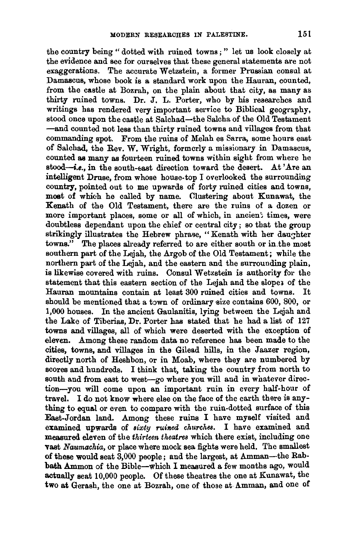the country being " dotted with ruined towns ; " let us look closely at the evidence and see for ourselves that these general statements are not exaggerations. The accurate Wetzstein, a former Prussian consul at Damascus, whose book is a standard work upon the Hauran, counted, from the castle at Bozrah, on the plain about that city, as many as thirty ruined towns. Dr. J. L. Porter, who by his researches and writings has rendered very important service to Biblical geography, stood once upon the castle at Salchad-the Salcha of the Old Testament -and counted not less than thirty ruined towns and villages from that commanding spot. From the ruins of Melah es Sarra, some hours east of Salchad, the Rev. W. Wright, formerly a missionary in Damascus, counted as many as fourteen ruined towns within sight from where he stood-i.e., in the south-east direction toward the desert. At 'Are an intelligent Druse, from whose house-top I overlooked the surrounding country, pointed out to me upwards of forty ruined cities and towns, most of whioh he called by name. Clustering about Kunawat, the Kenath of the Old Testament, there are the ruins of a dozen or more important places, some or all of which, in ancient times, were doubtless dependant upon the chief or central city; so that the group strikingly illustrates the Hebrew phrase, "Kenath with her daughter towns." The places already referred to are either south or in the most southern part of the Lejah, the Argob of the Old Testament; while the northern part of the Lejah, and the eastern and the surrounding plain, is likewise covered with ruins. Consul Wetzstein is authority for the statement that this eastern section of the Lejah and the slope; of the Hauran mountains contain at least 300 ruined cities and towns. It should be mentioned that a town of ordinary size contains 600, 800, or 1,000 houses. In the ancient Gaulanitis, lying between the Lejah and the Lake of Tiberias, Dr. Porter has stated that he had a list of 127 towns and villages, all of which were deserted with the exception of eleven. Among these random data no reference has been made to the cities, towns, and villages in the Gilead hills, in the Jaazer region, directly north of Heshbon, or in Moab, where they are numbered by scores and hundreds. I think that, taking the country from north to south and from east to west-go where you will and in whatever direction-you will come npon an important ruin in every half-hour of travel. I do not know where else on the face of the earth there is anything to equal or even to compare with the ruin-dotted surface of this East-Jordan land. Among these ruins I have myself visited and examined upwards of *sixty ruined churches.* I have examined and measured eleven of the *thirteen theatres* which there exist, including one vast *Naumachia,* or place where mock sea fights were held. The smallest of these would seat  $3,000$  people; and the largest, at Amman-the Rabbath Ammon of the Bible-which I measured a few months ago, would actually seat 10,000 people. Of these theatres the one at Kunawat, the two at Gerash, the one at Bozrah, one of those at Amman, and one of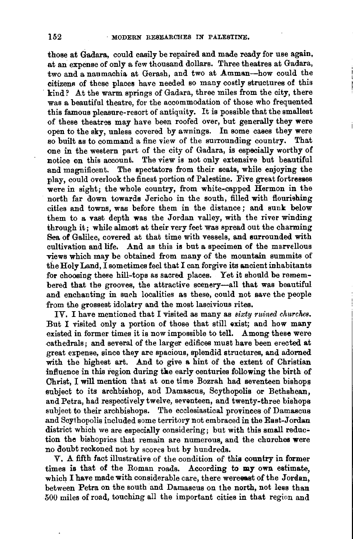those at Gadara, could easily be repaired and made ready for use again, at an expense of only a few thousand dollars. Three theatres at Gadara, two and a naumachia at Gerash, and two at Amman-how could the citizens of these places have needed so many costly structures of this kind? At the warm springs of Gadara, three miles from the city, there was a beautiful theatre, for the accommodation of those who frequented this famous pleasure-resort of antiquity. It is possible that the smallest of these theatres may have been roofed over, but generally they were open to the sky, unless covered by awnings. In some cases they were so built as to command a fine view of the surrounding country. That one in the western part of the city of Gadara, is especially worthy of notice on this account. The view is not only extensive but beautiful and magnificent. The spectators from their seats, while enjoying the play, could overlook the finest portion of Palestine. Five great fortresses were in sight; the whole country, from white-capped Hermon in the north far down towards Jericho in the south, filled with flourishing cities and towns, was before them in the distance ; and sunk below them to a vast depth was the Jordan valley, with the river winding through it; while almost at their very feet was spread out the charming Sea of Galilee, covered at that time with vessels, and surrounded with cultivation and life. And as this is but a specimen of the marvellous views which may be obtained from many of the mountain summits of the Holy Land, I sometimes feel that I can forgive its ancient inhabitants for choosing these hill-tops as sacred places. Yet it should be remembered that the grooves, the attractive scenery-all that was beautiful and enchanting in such localities as these, could not save the people from the grossest idolatry and the most lascivious rites.

IV. I have mentioned that I visited as many as *sixty ruined churches.*  But I visited only a portion of those that still exist; and how many existed in former times it is now impossible to tell. Among these were -cathedrals; and several of the larger edifices must have been erected at great expense, since they are spacious, splendid structures, and adorned with the highest art. And to give a hint of the extent of Christian influence in this region during the early centuries following the birth of Christ, I will mention that at one time Bozrah had seventeen bishops subject to its archbishop, and Damascus, Scythopolis or Bethshean, and Petra, had respectively twelve, seventeen, and twenty-three bishops subject to their archbishops. The ecclesiastical provinces of Damascus and Scythopolis included some territory not embraced in the East-Jordan district which we are especially considering; but with this small reduction the bishoprics that remain are numerous, and the churches were no doubt reckoned not by scores but by hundreds.

V. A fifth fact illustrative of the condition of this country in former times is that of the Roman roads. According to my own estimate, which I have made with considerable care, there wereeast of the Jordan, between Petra on the south and Damascus on the north, not less than 500 miles of road, touching all the important cities in that region and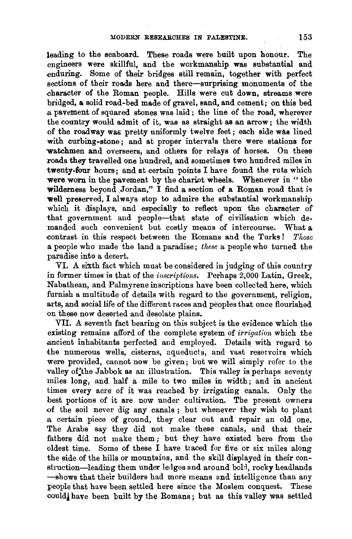leading to the seaboard. These roads were built upon honour. The engineers were skillful, and the workmanship was substantial and -enduring. Some of their bridges still remain, together with perfect sections of their roads here and there-surprising monuments of the -character of the Roman people. Hills were cut down, streams were bridged, a solid road-bed made of gravel, sand, and cement; on this bed .a pavement of squared stones was laid ; the line of the road, wherever the country would admit of it, was as straight as an arrow; the width of the roadway was pretty uniformly twelve feet; each side was lined with curbing-stone; and at proper intervals there were stations for watchmen and overseers, and others for relays of horses. On these roads they travelled one hundred, and sometimes two hundred miles in twenty-four hours; and at certain points I have found the ruts which were worn in the pavement by the chariot wheels. Whenever in "the wilderness beyond Jordan," I find a section of a Roman road that is well preserved, I always stop to admire the substantial workmanship which it displays, and especially to reflect upon the character of that government and people-that state of civilisation which demanded such convenient but costly means of intercourse. What a. -contrast in this respect between the Romans and the Turks ! *Those*  a people who made the land a paradise; *these* a people who turned the paradise into a desert.

VI. A sixth fact which must be considered in judging of this country in former times is that of the *inscriptions.* Perhaps 2,000 Latin, Greek, Nabathean, and Palmyrene inscriptions have been collected here, which furnish a multitude of details with regard to the government, religion, arts, and social life of the different races and peoples that once flourished on these now deserted and desolate plains.

VII. A seventh fact bearing on this subject is the evidence which the existing remains afford of the complete system of *irrigation* which the .ancient inhabitants perfected and employed. Details with regard to the numerous wells, cisterns, aqueducts, and vast reservoirs which were provided, cannot now be given; but we will simply refer to the valley of the Jabbok as an illustration. This valley is perhaps seventy miles long, and half a mile to two miles in width; and in ancient times every acre of it was reached by irrigating canals. Only the best portions of it are now under cultivation. The present owners of the soil never dig any canals; but whenever they wish to plant a certain piece of ground, they clear out and repair an old one. The Arabs say they did not make these canals, and that their fathers did not make them; but they have existed here from the oldest time. Some of these I have traced for five or six miles along the side of the hills or mountains, and the skill displayed in their construction-leading them under ledges and around bold, rocky headlands -shows that their builders had more means and intelligence than any people that have been settled here since the Moslem conquest. These couldj have been built by the Romans ; but as this valley was settled